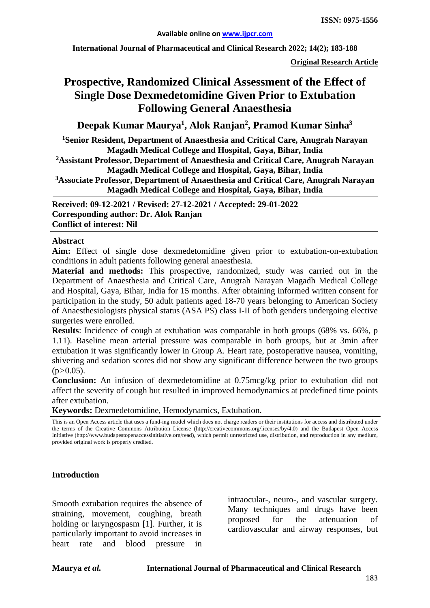**International Journal of Pharmaceutical and Clinical Research 2022; 14(2); 183-188**

**Original Research Article**

# **Prospective, Randomized Clinical Assessment of the Effect of Single Dose Dexmedetomidine Given Prior to Extubation Following General Anaesthesia**

**Deepak Kumar Maurya1 , Alok Ranjan2 , Pramod Kumar Sinha3**

**1 Senior Resident, Department of Anaesthesia and Critical Care, Anugrah Narayan Magadh Medical College and Hospital, Gaya, Bihar, India**

**2Assistant Professor, Department of Anaesthesia and Critical Care, Anugrah Narayan Magadh Medical College and Hospital, Gaya, Bihar, India**

**3Associate Professor, Department of Anaesthesia and Critical Care, Anugrah Narayan Magadh Medical College and Hospital, Gaya, Bihar, India**

**Received: 09-12-2021 / Revised: 27-12-2021 / Accepted: 29-01-2022 Corresponding author: Dr. Alok Ranjan Conflict of interest: Nil**

#### **Abstract**

**Aim:** Effect of single dose dexmedetomidine given prior to extubation-on-extubation conditions in adult patients following general anaesthesia.

**Material and methods:** This prospective, randomized, study was carried out in the Department of Anaesthesia and Critical Care, Anugrah Narayan Magadh Medical College and Hospital, Gaya, Bihar, India for 15 months. After obtaining informed written consent for participation in the study, 50 adult patients aged 18-70 years belonging to American Society of Anaesthesiologists physical status (ASA PS) class I-II of both genders undergoing elective surgeries were enrolled.

**Results**: Incidence of cough at extubation was comparable in both groups (68% vs. 66%, p 1.11). Baseline mean arterial pressure was comparable in both groups, but at 3min after extubation it was significantly lower in Group A. Heart rate, postoperative nausea, vomiting, shivering and sedation scores did not show any significant difference between the two groups  $(p>0.05)$ .

**Conclusion:** An infusion of dexmedetomidine at 0.75mcg/kg prior to extubation did not affect the severity of cough but resulted in improved hemodynamics at predefined time points after extubation.

**Keywords:** Dexmedetomidine, Hemodynamics, Extubation.

#### **Introduction**

Smooth extubation requires the absence of straining, movement, coughing, breath holding or laryngospasm [1]. Further, it is particularly important to avoid increases in heart rate and blood pressure in

intraocular-, neuro-, and vascular surgery. Many techniques and drugs have been proposed for the attenuation of cardiovascular and airway responses, but

This is an Open Access article that uses a fund-ing model which does not charge readers or their institutions for access and distributed under the terms of the Creative Commons Attribution License (http://creativecommons.org/licenses/by/4.0) and the Budapest Open Access Initiative (http://www.budapestopenaccessinitiative.org/read), which permit unrestricted use, distribution, and reproduction in any medium, provided original work is properly credited.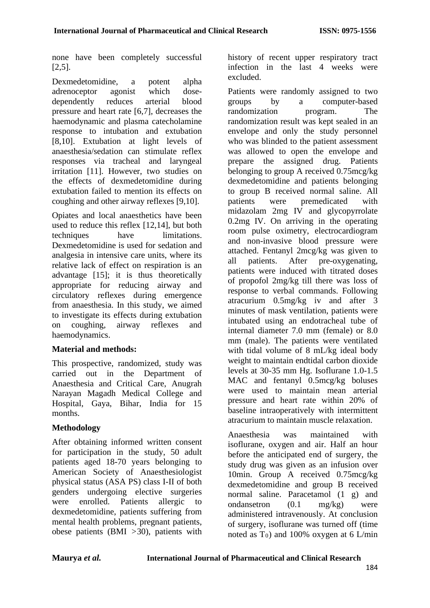none have been completely successful [2,5].

Dexmedetomidine, a potent alpha adrenoceptor agonist which dosedependently reduces arterial blood pressure and heart rate [6,7], decreases the haemodynamic and plasma catecholamine response to intubation and extubation [8,10]. Extubation at light levels of anaesthesia/sedation can stimulate reflex responses via tracheal and laryngeal irritation [11]. However, two studies on the effects of dexmedetomidine during extubation failed to mention its effects on coughing and other airway reflexes [9,10].

Opiates and local anaesthetics have been used to reduce this reflex [12,14], but both techniques have limitations. Dexmedetomidine is used for sedation and analgesia in intensive care units, where its relative lack of effect on respiration is an advantage [15]; it is thus theoretically appropriate for reducing airway and circulatory reflexes during emergence from anaesthesia. In this study, we aimed to investigate its effects during extubation on coughing, airway reflexes and haemodynamics.

### **Material and methods:**

This prospective, randomized, study was carried out in the Department of Anaesthesia and Critical Care, Anugrah Narayan Magadh Medical College and Hospital, Gaya, Bihar, India for 15 months.

# **Methodology**

After obtaining informed written consent for participation in the study, 50 adult patients aged 18-70 years belonging to American Society of Anaesthesiologist physical status (ASA PS) class I-II of both genders undergoing elective surgeries were enrolled. Patients allergic to dexmedetomidine, patients suffering from mental health problems, pregnant patients, obese patients (BMI *>*30), patients with history of recent upper respiratory tract infection in the last 4 weeks were excluded.

Patients were randomly assigned to two groups by a computer-based randomization program. The randomization result was kept sealed in an envelope and only the study personnel who was blinded to the patient assessment was allowed to open the envelope and prepare the assigned drug. Patients belonging to group A received 0.75mcg/kg dexmedetomidine and patients belonging to group B received normal saline. All patients were premedicated with midazolam 2mg IV and glycopyrrolate 0.2mg IV. On arriving in the operating room pulse oximetry, electrocardiogram and non-invasive blood pressure were attached. Fentanyl 2mcg/kg was given to all patients. After pre-oxygenating, patients were induced with titrated doses of propofol 2mg/kg till there was loss of response to verbal commands. Following atracurium 0.5mg/kg iv and after 3 minutes of mask ventilation, patients were intubated using an endotracheal tube of internal diameter 7.0 mm (female) or 8.0 mm (male). The patients were ventilated with tidal volume of 8 mL/kg ideal body weight to maintain endtidal carbon dioxide levels at 30-35 mm Hg. Isoflurane 1.0-1.5 MAC and fentanyl 0.5mcg/kg boluses were used to maintain mean arterial pressure and heart rate within 20% of baseline intraoperatively with intermittent atracurium to maintain muscle relaxation.

Anaesthesia was maintained with isoflurane, oxygen and air. Half an hour before the anticipated end of surgery, the study drug was given as an infusion over 10min. Group A received 0.75mcg/kg dexmedetomidine and group B received normal saline. Paracetamol (1 g) and ondansetron (0.1 mg/kg) were administered intravenously. At conclusion of surgery, isoflurane was turned off (time noted as  $T_0$ ) and 100% oxygen at 6 L/min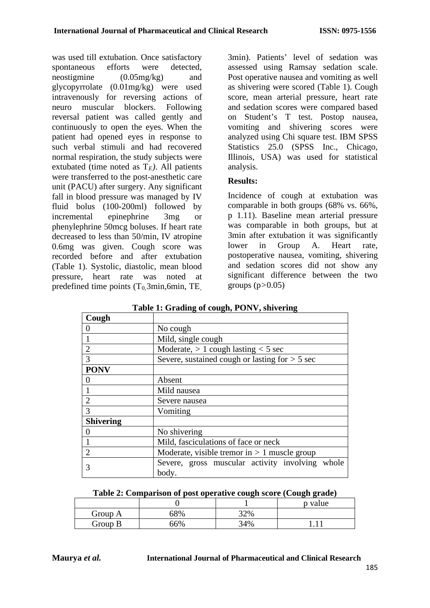was used till extubation. Once satisfactory spontaneous efforts were detected, neostigmine (0.05mg/kg) and glycopyrrolate (0.01mg/kg) were used intravenously for reversing actions of neuro muscular blockers. reversal patient was called gently and continuously to open the eyes. When the patient had opened eyes in response to such verbal stimuli and had recovered normal respiration, the study subjects were extubated (time noted as  $T_E$ ). All patients were transferred to the post-anesthetic care unit (PACU) after surgery. Any significant fall in blood pressure was managed by IV fluid bolus (100-200ml) followed by incremental epinephrine 3mg or phenylephrine 50mcg boluses. If heart rate decreased to less than 50/min, IV atropine 0.6mg was given. Cough score was recorded before and after extubation (Table 1). Systolic, diastolic, mean blood pressure, heart rate was noted at predefined time points (T0*,*3min,6min, TE*,*

3min). Patients' level of sedation was assessed using Ramsay sedation scale. Post operative nausea and vomiting as well as shivering were scored (Table 1). Cough score, mean arterial pressure, heart rate and sedation scores were compared based on Student's T test. Postop nausea, vomiting and shivering scores were analyzed using Chi square test. IBM SPSS Statistics 25.0 (SPSS Inc., Chicago, Illinois, USA) was used for statistical analysis.

## **Results:**

Incidence of cough at extubation was comparable in both groups (68% vs. 66%, p 1.11). Baseline mean arterial pressure was comparable in both groups, but at 3min after extubation it was significantly lower in Group A. Heart rate, postoperative nausea, vomiting, shivering and sedation scores did not show any significant difference between the two groups (p*>*0.05)

| Cough            |                                                          |  |  |  |  |  |
|------------------|----------------------------------------------------------|--|--|--|--|--|
|                  | No cough                                                 |  |  |  |  |  |
|                  | Mild, single cough                                       |  |  |  |  |  |
| $\overline{2}$   | Moderate, $> 1$ cough lasting $<$ 5 sec                  |  |  |  |  |  |
| 3                | Severe, sustained cough or lasting for $> 5$ sec         |  |  |  |  |  |
| <b>PONV</b>      |                                                          |  |  |  |  |  |
|                  | Absent                                                   |  |  |  |  |  |
|                  | Mild nausea                                              |  |  |  |  |  |
| 2                | Severe nausea                                            |  |  |  |  |  |
| 3                | Vomiting                                                 |  |  |  |  |  |
| <b>Shivering</b> |                                                          |  |  |  |  |  |
|                  | No shivering                                             |  |  |  |  |  |
|                  | Mild, fasciculations of face or neck                     |  |  |  |  |  |
| 2                | Moderate, visible tremor in $> 1$ muscle group           |  |  |  |  |  |
| 3                | Severe, gross muscular activity involving whole<br>body. |  |  |  |  |  |

**Table 1: Grading of cough, PONV, shivering**

| Table 2: Comparison of post operative cough score (Cough grade) |
|-----------------------------------------------------------------|
|-----------------------------------------------------------------|

|         |            |     | p value |
|---------|------------|-----|---------|
| Group A | <b>58%</b> | 32% |         |
| Group B | 66%        | 34% |         |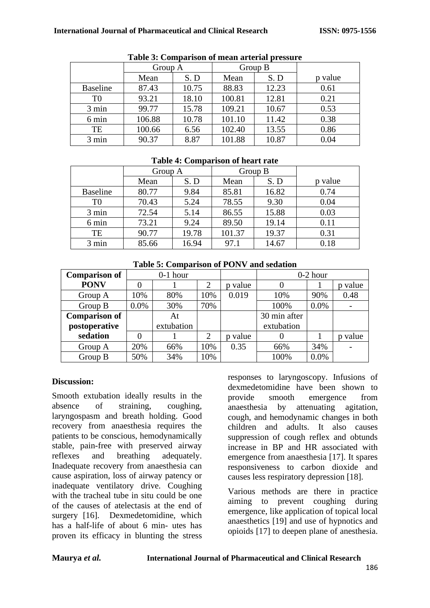| Table 9. Comparison of mean arteriar pressure |         |       |         |       |         |  |
|-----------------------------------------------|---------|-------|---------|-------|---------|--|
|                                               | Group A |       | Group B |       |         |  |
|                                               | Mean    | S. D  | Mean    | S. D  | p value |  |
| <b>Baseline</b>                               | 87.43   | 10.75 | 88.83   | 12.23 | 0.61    |  |
| T <sub>0</sub>                                | 93.21   | 18.10 | 100.81  | 12.81 | 0.21    |  |
| 3 min                                         | 99.77   | 15.78 | 109.21  | 10.67 | 0.53    |  |
| 6 min                                         | 106.88  | 10.78 | 101.10  | 11.42 | 0.38    |  |
| TE                                            | 100.66  | 6.56  | 102.40  | 13.55 | 0.86    |  |
| 3 min                                         | 90.37   | 8.87  | 101.88  | 10.87 | 0.04    |  |

#### **Table 3: Comparison of mean arterial pressure**

### **Table 4: Comparison of heart rate**

|                 | Group A |       | Group B |       |         |
|-----------------|---------|-------|---------|-------|---------|
|                 | Mean    | S.D   | Mean    | S.D   | p value |
| <b>Baseline</b> | 80.77   | 9.84  | 85.81   | 16.82 | 0.74    |
| T <sub>0</sub>  | 70.43   | 5.24  | 78.55   | 9.30  | 0.04    |
| 3 min           | 72.54   | 5.14  | 86.55   | 15.88 | 0.03    |
| 6 min           | 73.21   | 9.24  | 89.50   | 19.14 | 0.11    |
| TE              | 90.77   | 19.78 | 101.37  | 19.37 | 0.31    |
| 3 min           | 85.66   | 16.94 | 97.1    | 14.67 | 0.18    |

| <b>Comparison of</b> | $0-1$ hour |            |                |            | $0-2$ hour   |         |            |
|----------------------|------------|------------|----------------|------------|--------------|---------|------------|
| <b>PONV</b>          |            |            | 2              | value      |              |         | value<br>n |
| Group A              | 10%        | 80%        | 10%            | 0.019      | 10%          | 90%     | 0.48       |
| Group B              | 0.0%       | 30%        | 70%            |            | 100%         | $0.0\%$ |            |
| <b>Comparison of</b> |            | At         |                |            | 30 min after |         |            |
| postoperative        |            | extubation |                |            | extubation   |         |            |
| sedation             |            |            | $\overline{2}$ | value<br>n |              |         | value<br>n |
| Group A              | 20%        | 66%        | 10%            | 0.35       | 66%          | 34%     |            |
| Group B              | 50%        | 34%        | 10%            |            | 100%         | 0.0%    |            |

#### **Table 5: Comparison of PONV and sedation**

### **Discussion:**

Smooth extubation ideally results in the absence of straining, coughing, laryngospasm and breath holding. Good recovery from anaesthesia requires the patients to be conscious, hemodynamically stable, pain-free with preserved airway<br>reflexes and breathing adequately. reflexes and breathing adequately. Inadequate recovery from anaesthesia can cause aspiration, loss of airway patency or inadequate ventilatory drive. Coughing with the tracheal tube in situ could be one of the causes of atelectasis at the end of surgery [16]. Dexmedetomidine, which has a half-life of about 6 min- utes has proven its efficacy in blunting the stress responses to laryngoscopy. Infusions of dexmedetomidine have been shown to provide smooth emergence from anaesthesia by attenuating agitation, cough, and hemodynamic changes in both children and adults. It also causes suppression of cough reflex and obtunds increase in BP and HR associated with emergence from anaesthesia [17]. It spares responsiveness to carbon dioxide and causes less respiratory depression [18].

Various methods are there in practice aiming to prevent coughing during emergence, like application of topical local anaesthetics [19] and use of hypnotics and opioids [17] to deepen plane of anesthesia.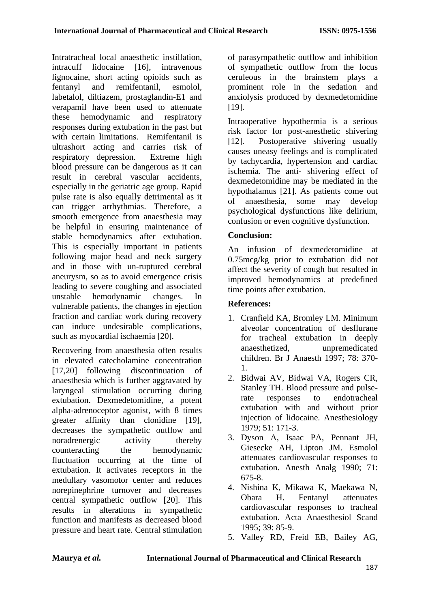Intratracheal local anaesthetic instillation, intracuff lidocaine [16], intravenous lignocaine, short acting opioids such as fentanyl and remifentanil, esmolol, labetalol, diltiazem, prostaglandin-E1 and verapamil have been used to attenuate these hemodynamic and respiratory responses during extubation in the past but with certain limitations. Remifentanil is ultrashort acting and carries risk of respiratory depression. Extreme high blood pressure can be dangerous as it can result in cerebral vascular accidents, especially in the geriatric age group. Rapid pulse rate is also equally detrimental as it can trigger arrhythmias. Therefore, a smooth emergence from anaesthesia may be helpful in ensuring maintenance of stable hemodynamics after extubation. This is especially important in patients following major head and neck surgery and in those with un-ruptured cerebral aneurysm, so as to avoid emergence crisis leading to severe coughing and associated unstable hemodynamic changes. In vulnerable patients, the changes in ejection fraction and cardiac work during recovery can induce undesirable complications, such as myocardial ischaemia [20].

Recovering from anaesthesia often results in elevated catecholamine concentration [17,20] following discontinuation of anaesthesia which is further aggravated by laryngeal stimulation occurring during extubation. Dexmedetomidine, a potent alpha-adrenoceptor agonist, with 8 times greater affinity than clonidine [19], decreases the sympathetic outflow and noradrenergic activity thereby counteracting the hemodynamic fluctuation occurring at the time of extubation. It activates receptors in the medullary vasomotor center and reduces norepinephrine turnover and decreases central sympathetic outflow [20]. This results in alterations in sympathetic function and manifests as decreased blood pressure and heart rate. Central stimulation of parasympathetic outflow and inhibition of sympathetic outflow from the locus ceruleous in the brainstem plays a prominent role in the sedation and anxiolysis produced by dexmedetomidine [19].

Intraoperative hypothermia is a serious risk factor for post-anesthetic shivering [12]. Postoperative shivering usually causes uneasy feelings and is complicated by tachycardia, hypertension and cardiac ischemia. The anti- shivering effect of dexmedetomidine may be mediated in the hypothalamus [21]. As patients come out of anaesthesia, some may develop psychological dysfunctions like delirium, confusion or even cognitive dysfunction.

# **Conclusion:**

An infusion of dexmedetomidine at 0.75mcg/kg prior to extubation did not affect the severity of cough but resulted in improved hemodynamics at predefined time points after extubation.

# **References:**

- 1. Cranfield KA, Bromley LM. Minimum alveolar concentration of desflurane for tracheal extubation in deeply anaesthetized, unpremedicated children. Br J Anaesth 1997; 78: 370- 1.
- 2. Bidwai AV, Bidwai VA, Rogers CR, Stanley TH. Blood pressure and pulserate responses to endotracheal extubation with and without prior injection of lidocaine. Anesthesiology 1979; 51: 171-3.
- 3. Dyson A, Isaac PA, Pennant JH, Giesecke AH, Lipton JM. Esmolol attenuates cardiovascular responses to extubation. Anesth Analg 1990; 71: 675-8.
- 4. Nishina K, Mikawa K, Maekawa N, Obara H. Fentanyl attenuates cardiovascular responses to tracheal extubation. Acta Anaesthesiol Scand 1995; 39: 85-9.
- 5. Valley RD, Freid EB, Bailey AG,